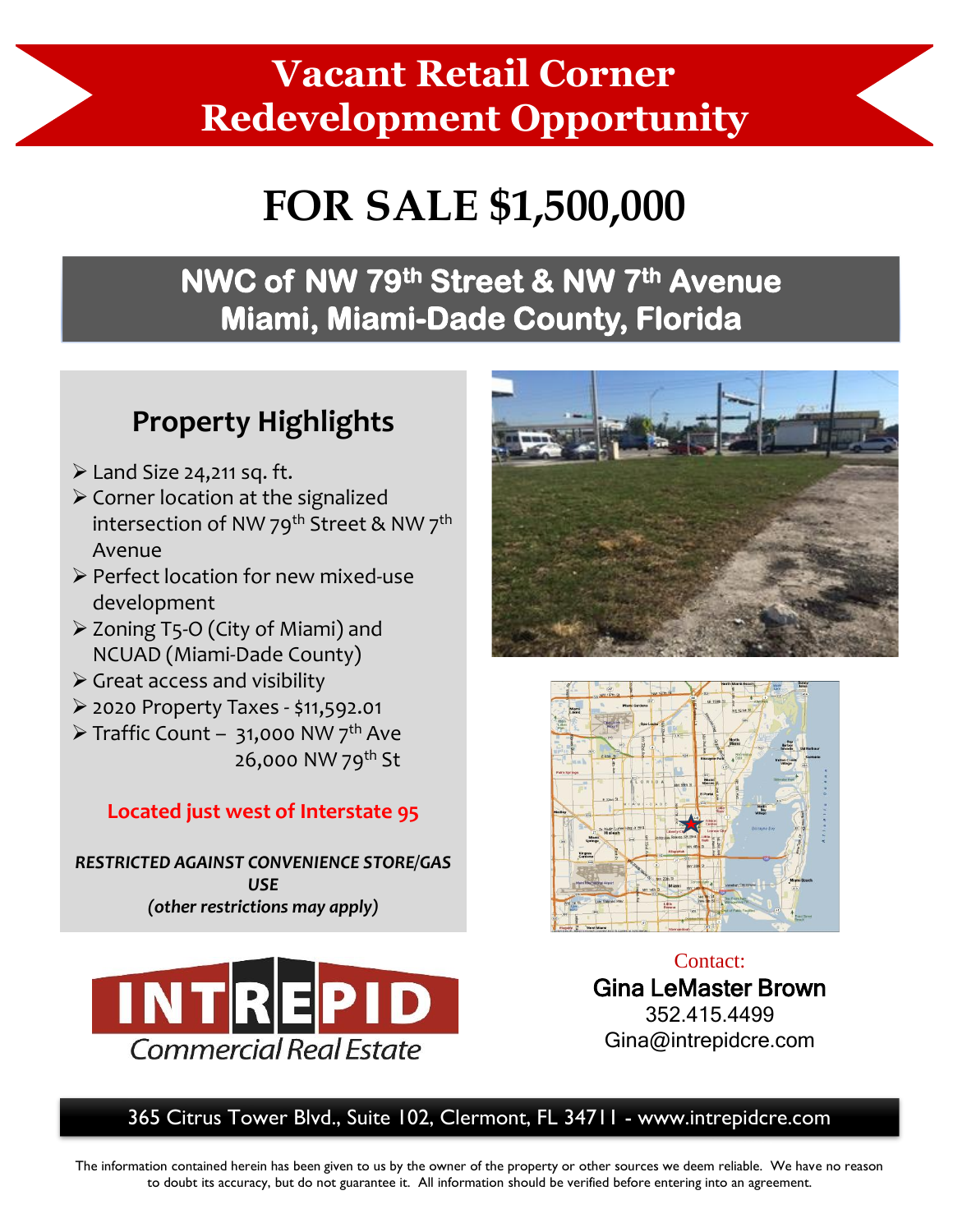# **Vacant Retail Corner Redevelopment Opportunity**

# **FOR SALE \$1,500,000**

### **NWC of NW 79th Street & NW 7th Avenue Miami, Miami-Dade County, Florida**

#### **Property Highlights**

- $\triangleright$  Land Size 24,211 sq. ft.
- ➢ Corner location at the signalized intersection of NW 79<sup>th</sup> Street & NW 7<sup>th</sup> Avenue
- ➢ Perfect location for new mixed-use development
- ➢ Zoning T5-O (City of Miami) and NCUAD (Miami-Dade County)
- $\triangleright$  Great access and visibility
- ➢ 2020 Property Taxes \$11,592.01
- $\triangleright$  Traffic Count 31,000 NW 7<sup>th</sup> Ave 26,000 NW 79th St

#### **Located just west of Interstate 95**

*RESTRICTED AGAINST CONVENIENCE STORE/GAS USE (other restrictions may apply)*







Contact: Gina LeMaster Brown 352.415.4499 Gina@intrepidcre.com

365 Citrus Tower Blvd., Suite 102, Clermont, FL 34711 - www.intrepidcre.com

The information contained herein has been given to us by the owner of the property or other sources we deem reliable. We have no reason to doubt its accuracy, but do not guarantee it. All information should be verified before entering into an agreement.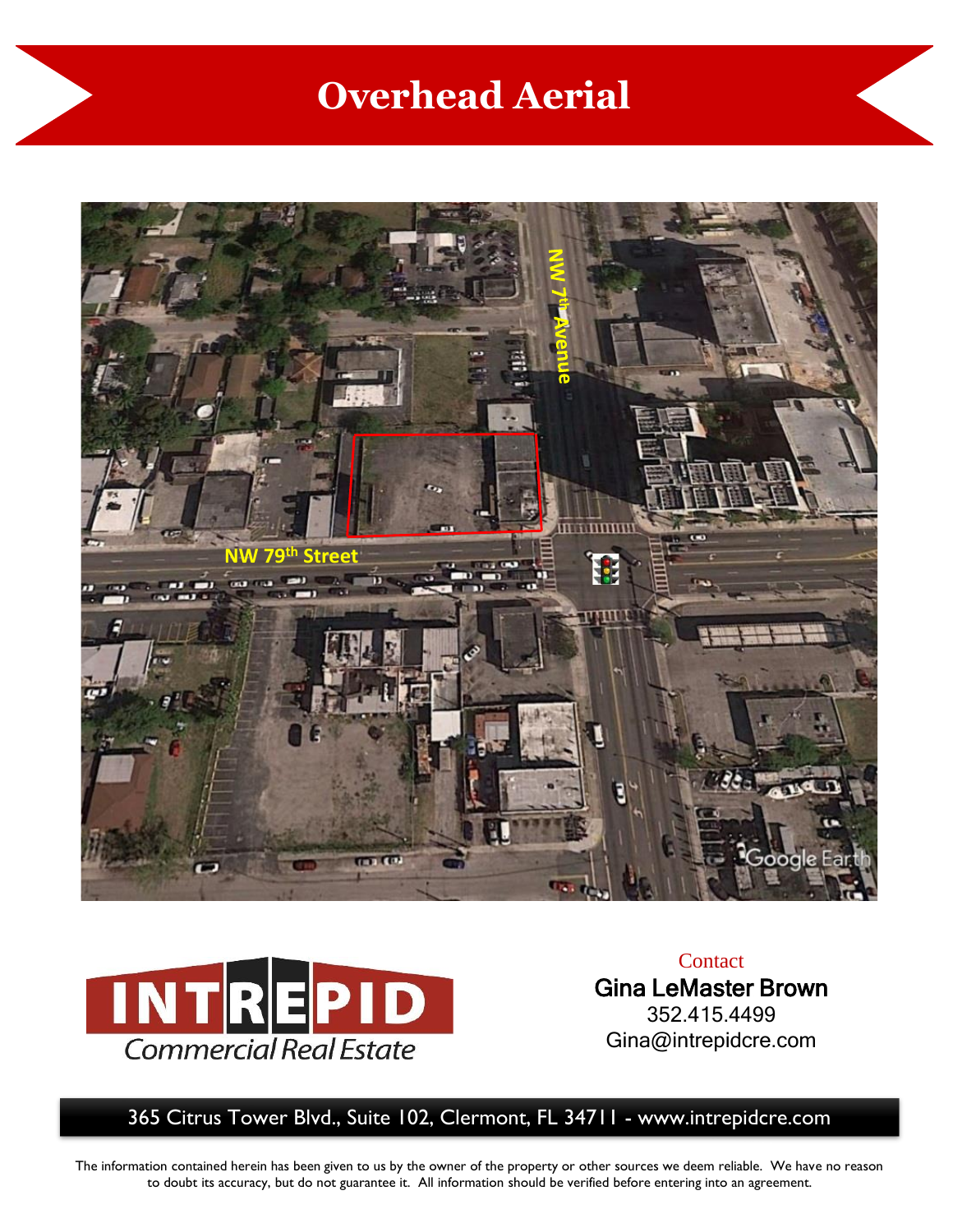## **Overhead Aerial**





**Contact** Gina LeMaster Brown 352.415.4499 Gina@intrepidcre.com

365 Citrus Tower Blvd., Suite 102, Clermont, FL 34711 - www.intrepidcre.com

The information contained herein has been given to us by the owner of the property or other sources we deem reliable. We have no reason to doubt its accuracy, but do not guarantee it. All information should be verified before entering into an agreement.